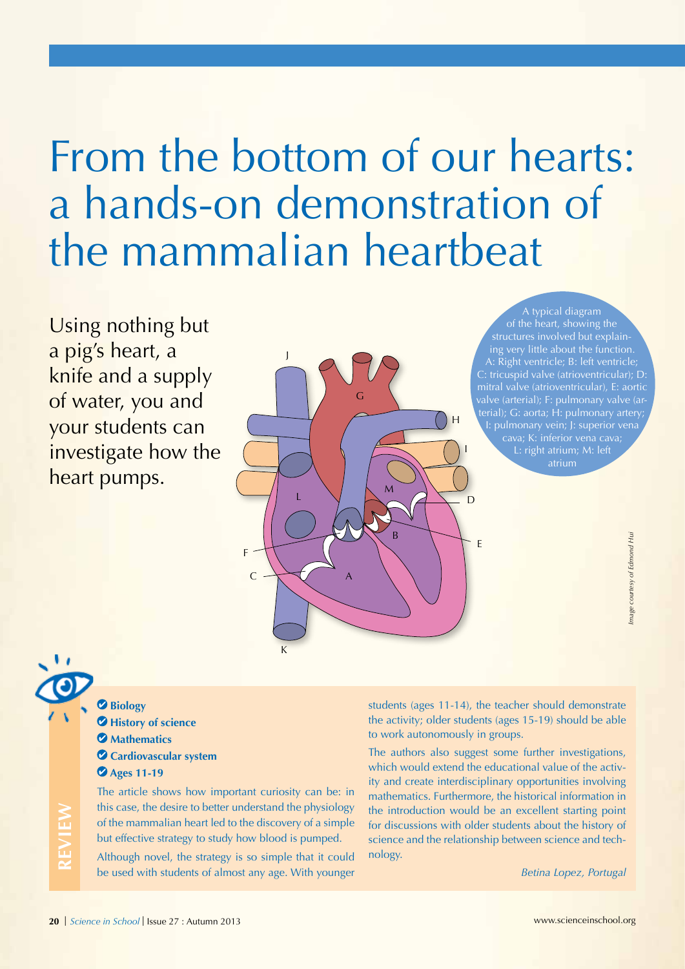# From the bottom of our hearts: a hands-on demonstration of the mammalian heartbeat

Using nothing but a pig's heart, a knife and a supply of water, you and your students can investigate how the heart pumps.

J G E A B  $\mathsf{C}$ H D I L M

A typical diagram of the heart, showing the structures involved but explaining very little about the function. A: Right ventricle; B: left ventricle; C: tricuspid valve (atrioventricular); D: terial); G: aorta; H: pulmonary artery; I: pulmonary vein; J: superior vena L: right atrium; M: left atrium

**Biology History of science Mathematics Cardiovascular system Ages 11-19**

The article shows how important curiosity can be: in this case, the desire to better understand the physiology of the mammalian heart led to the discovery of a simple but effective strategy to study how blood is pumped.

F

K

Although novel, the strategy is so simple that it could be used with students of almost any age. With younger

students (ages 11-14), the teacher should demonstrate the activity; older students (ages 15-19) should be able to work autonomously in groups.

The authors also suggest some further investigations, which would extend the educational value of the activity and create interdisciplinary opportunities involving mathematics. Furthermore, the historical information in the introduction would be an excellent starting point for discussions with older students about the history of science and the relationship between science and technology.

*Betina Lopez, Portugal*

**REVIEW**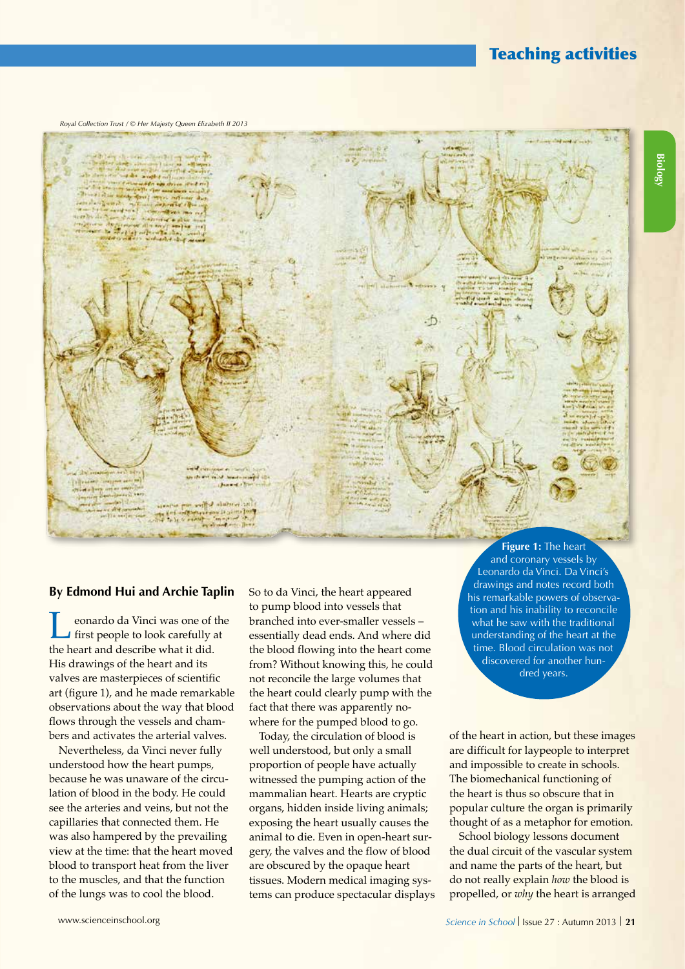# Teaching activities

*Royal Collection Trust / © Her Majesty Queen Elizabeth II 2013*



#### **By Edmond Hui and Archie Taplin**

**Leonardo da Vinci was one of the**<br>first people to look carefully at<br>the beart and describe what it did the heart and describe what it did. His drawings of the heart and its valves are masterpieces of scientific art (figure 1), and he made remarkable observations about the way that blood flows through the vessels and chambers and activates the arterial valves.

Nevertheless, da Vinci never fully understood how the heart pumps, because he was unaware of the circulation of blood in the body. He could see the arteries and veins, but not the capillaries that connected them. He was also hampered by the prevailing view at the time: that the heart moved blood to transport heat from the liver to the muscles, and that the function of the lungs was to cool the blood.

So to da Vinci, the heart appeared to pump blood into vessels that branched into ever-smaller vessels – essentially dead ends. And where did the blood flowing into the heart come from? Without knowing this, he could not reconcile the large volumes that the heart could clearly pump with the fact that there was apparently nowhere for the pumped blood to go.

Today, the circulation of blood is well understood, but only a small proportion of people have actually witnessed the pumping action of the mammalian heart. Hearts are cryptic organs, hidden inside living animals; exposing the heart usually causes the animal to die. Even in open-heart surgery, the valves and the flow of blood are obscured by the opaque heart tissues. Modern medical imaging systems can produce spectacular displays

**Figure 1:** The heart and coronary vessels by Leonardo da Vinci. Da Vinci's drawings and notes record both his remarkable powers of observation and his inability to reconcile what he saw with the traditional understanding of the heart at the time. Blood circulation was not discovered for another hundred years.

of the heart in action, but these images are difficult for laypeople to interpret and impossible to create in schools. The biomechanical functioning of the heart is thus so obscure that in popular culture the organ is primarily thought of as a metaphor for emotion.

School biology lessons document the dual circuit of the vascular system and name the parts of the heart, but do not really explain *how* the blood is propelled, or *why* the heart is arranged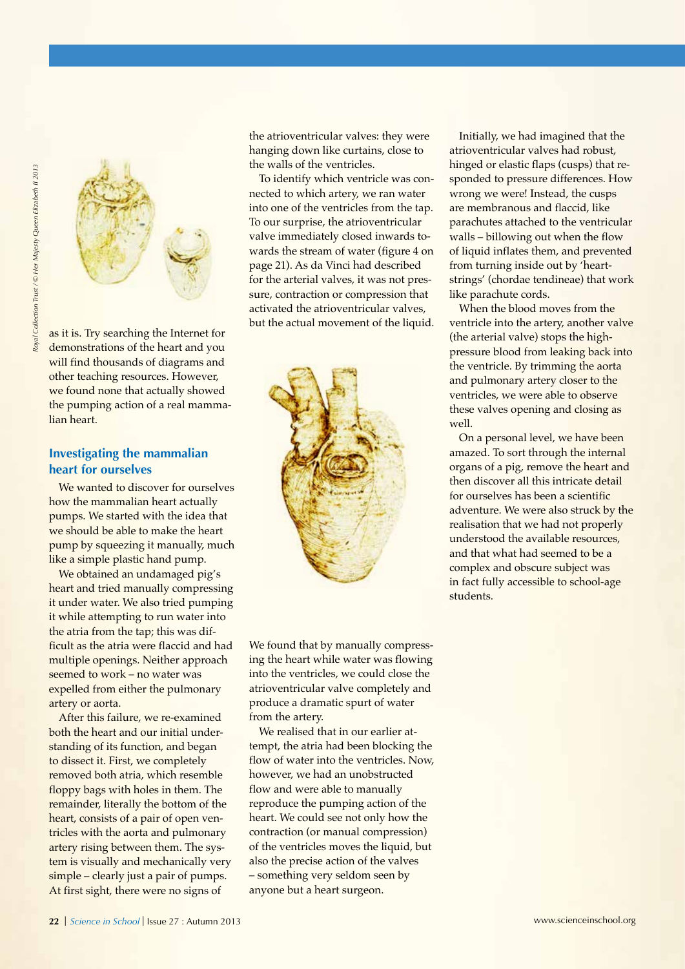

as it is. Try searching the Internet for demonstrations of the heart and you will find thousands of diagrams and other teaching resources. However, we found none that actually showed the pumping action of a real mammalian heart.

### **Investigating the mammalian heart for ourselves**

We wanted to discover for ourselves how the mammalian heart actually pumps. We started with the idea that we should be able to make the heart pump by squeezing it manually, much like a simple plastic hand pump.

We obtained an undamaged pig's heart and tried manually compressing it under water. We also tried pumping it while attempting to run water into the atria from the tap; this was difficult as the atria were flaccid and had multiple openings. Neither approach seemed to work – no water was expelled from either the pulmonary artery or aorta.

After this failure, we re-examined both the heart and our initial understanding of its function, and began to dissect it. First, we completely removed both atria, which resemble floppy bags with holes in them. The remainder, literally the bottom of the heart, consists of a pair of open ventricles with the aorta and pulmonary artery rising between them. The system is visually and mechanically very simple – clearly just a pair of pumps. At first sight, there were no signs of

the atrioventricular valves: they were hanging down like curtains, close to the walls of the ventricles.

To identify which ventricle was connected to which artery, we ran water into one of the ventricles from the tap. To our surprise, the atrioventricular valve immediately closed inwards towards the stream of water (figure 4 on page 21). As da Vinci had described for the arterial valves, it was not pressure, contraction or compression that activated the atrioventricular valves, but the actual movement of the liquid.



We found that by manually compressing the heart while water was flowing into the ventricles, we could close the atrioventricular valve completely and produce a dramatic spurt of water from the artery.

We realised that in our earlier attempt, the atria had been blocking the flow of water into the ventricles. Now, however, we had an unobstructed flow and were able to manually reproduce the pumping action of the heart. We could see not only how the contraction (or manual compression) of the ventricles moves the liquid, but also the precise action of the valves – something very seldom seen by anyone but a heart surgeon.

Initially, we had imagined that the atrioventricular valves had robust, hinged or elastic flaps (cusps) that responded to pressure differences. How wrong we were! Instead, the cusps are membranous and flaccid, like parachutes attached to the ventricular walls – billowing out when the flow of liquid inflates them, and prevented from turning inside out by 'heartstrings' (chordae tendineae) that work like parachute cords.

When the blood moves from the ventricle into the artery, another valve (the arterial valve) stops the highpressure blood from leaking back into the ventricle. By trimming the aorta and pulmonary artery closer to the ventricles, we were able to observe these valves opening and closing as well.

On a personal level, we have been amazed. To sort through the internal organs of a pig, remove the heart and then discover all this intricate detail for ourselves has been a scientific adventure. We were also struck by the realisation that we had not properly understood the available resources, and that what had seemed to be a complex and obscure subject was in fact fully accessible to school-age students.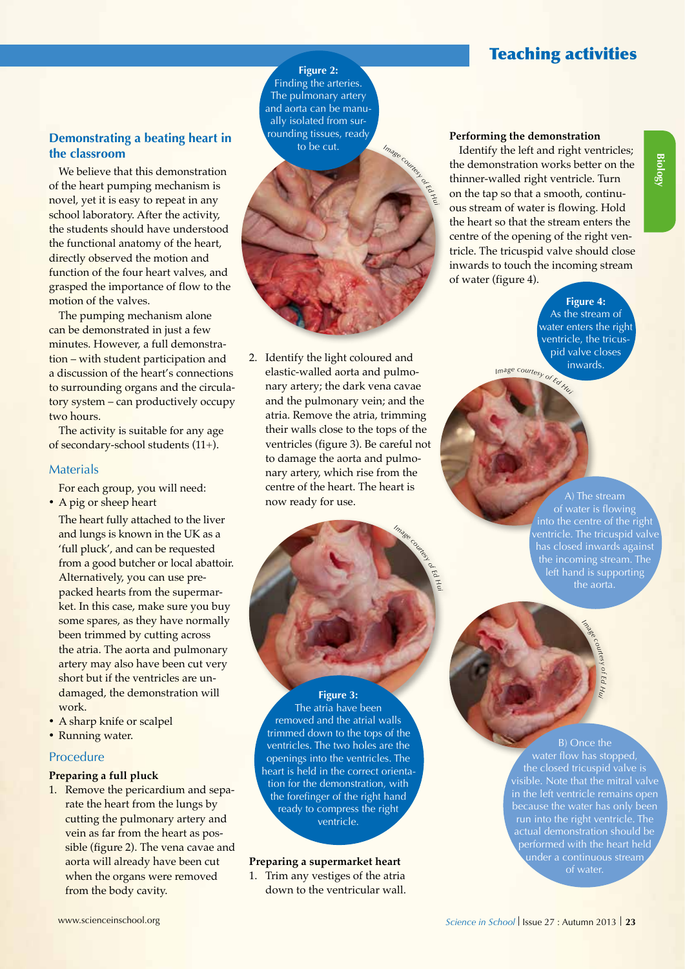# Teaching activities

## **Demonstrating a beating heart in the classroom**

We believe that this demonstration of the heart pumping mechanism is novel, yet it is easy to repeat in any school laboratory. After the activity, the students should have understood the functional anatomy of the heart, directly observed the motion and function of the four heart valves, and grasped the importance of flow to the motion of the valves.

The pumping mechanism alone can be demonstrated in just a few minutes. However, a full demonstration – with student participation and a discussion of the heart's connections to surrounding organs and the circulatory system – can productively occupy two hours.

The activity is suitable for any age of secondary-school students (11+).

#### **Materials**

For each group, you will need: • A pig or sheep heart

- The heart fully attached to the liver and lungs is known in the UK as a 'full pluck', and can be requested from a good butcher or local abattoir. Alternatively, you can use prepacked hearts from the supermarket. In this case, make sure you buy some spares, as they have normally been trimmed by cutting across the atria. The aorta and pulmonary artery may also have been cut very short but if the ventricles are undamaged, the demonstration will work.
- A sharp knife or scalpel
- Running water.

## Procedure

**Preparing a full pluck**

1. Remove the pericardium and separate the heart from the lungs by cutting the pulmonary artery and vein as far from the heart as possible (figure 2). The vena cavae and aorta will already have been cut when the organs were removed from the body cavity.

2. Identify the light coloured and elastic-walled aorta and pulmonary artery; the dark vena cavae and the pulmonary vein; and the atria. Remove the atria, trimming their walls close to the tops of the ventricles (figure 3). Be careful not to damage the aorta and pulmonary artery, which rise from the centre of the heart. The heart is now ready for use.

**Figure 2:**  Finding the arteries. The pulmonary artery and aorta can be manually isolated from surrounding tissues, ready to be cut.

*<sup>I</sup>mag<sup>e</sup> <sup>c</sup>ourte<sup>s</sup><sup>y</sup> <sup>o</sup><sup>f</sup> <sup>E</sup><sup>d</sup>*

*Image courtesy of Ed*

*Hui*

*Hui*

## **Performing the demonstration**

Identify the left and right ventricles; the demonstration works better on the thinner-walled right ventricle. Turn on the tap so that a smooth, continuous stream of water is flowing. Hold the heart so that the stream enters the centre of the opening of the right ventricle. The tricuspid valve should close inwards to touch the incoming stream of water (figure 4).

> *<sup>I</sup>m<sup>a</sup>g<sup>e</sup> <sup>c</sup>ourte<sup>s</sup><sup>y</sup> <sup>o</sup><sup>f</sup> <sup>E</sup><sup>d</sup> <sup>H</sup><sup>u</sup><sup>i</sup>* **Figure 4:**  As the stream of water enters the right ventricle, the tricuspid valve closes inwards.

> > of water is flowing into the centre of the right has closed inwards against the incoming stream. The left hand is supporting the aorta.

> > > *Image*

*courtesy of Ed Hui*

#### **Figure 3:**

The atria have been removed and the atrial walls trimmed down to the tops of the ventricles. The two holes are the openings into the ventricles. The heart is held in the correct orientation for the demonstration, with the forefinger of the right hand ready to compress the right ventricle.

# **Preparing a supermarket heart** a continuous definition of water.

1. Trim any vestiges of the atria down to the ventricular wall.

B) Once the

water flow has stopped, the closed tricuspid valve is visible. Note that the mitral valve in the left ventricle remains open run into the right ventricle. The actual demonstration should be under a continuous stream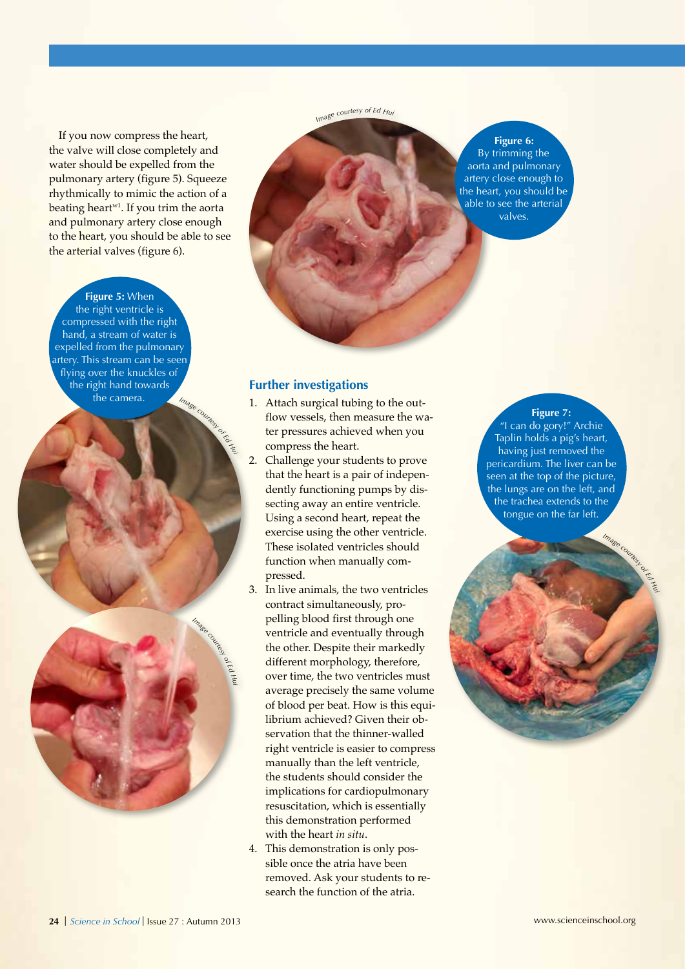If you now compress the heart, the valve will close completely and water should be expelled from the pulmonary artery (figure 5). Squeeze rhythmically to mimic the action of a beating heart<sup>w1</sup>. If you trim the aorta and pulmonary artery close enough to the heart, you should be able to see the arterial valves (figure 6).

#### **Figure 5:** When

 $I$ *mag*<sup>*e*</sup> the right ventricle is compressed with the right hand, a stream of water is expelled from the pulmonary artery. This stream can be seen flying over the knuckles of the right hand towards the camera.



*Imag<sup>e</sup> <sup>c</sup>ourte<sup>s</sup><sup>y</sup> <sup>o</sup><sup>f</sup> <sup>E</sup><sup>d</sup> <sup>H</sup>u<sup>i</sup>*

## **Figure 6:**

By trimming the aorta and pulmonary artery close enough to the heart, you should be able to see the arterial valves.

#### **Further investigations**

- 1. Attach surgical tubing to the outflow vessels, then measure the water pressures achieved when you compress the heart.
- 2. Challenge your students to prove that the heart is a pair of independently functioning pumps by dissecting away an entire ventricle. Using a second heart, repeat the exercise using the other ventricle. These isolated ventricles should function when manually compressed.
- 3. In live animals, the two ventricles contract simultaneously, propelling blood first through one ventricle and eventually through the other. Despite their markedly different morphology, therefore, over time, the two ventricles must average precisely the same volume of blood per beat. How is this equilibrium achieved? Given their observation that the thinner-walled right ventricle is easier to compress manually than the left ventricle, the students should consider the implications for cardiopulmonary resuscitation, which is essentially this demonstration performed with the heart *in situ*.
- 4. This demonstration is only possible once the atria have been removed. Ask your students to research the function of the atria.

**Figure 7:** "I can do gory!" Archie Taplin holds a pig's heart, having just removed the pericardium. The liver can be seen at the top of the picture, the lungs are on the left, and the trachea extends to the tongue on the far left.